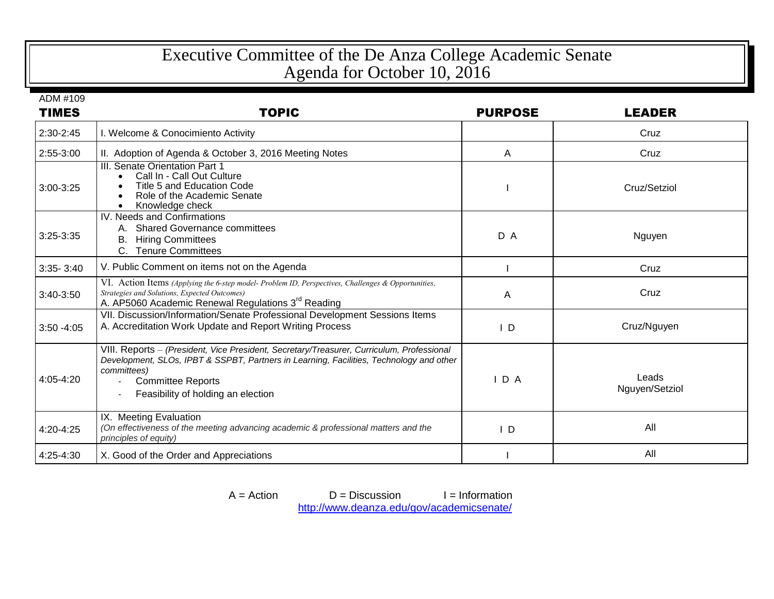## Executive Committee of the De Anza College Academic Senate Agenda for October 10, 2016

ADM #109

| <b>TIMES</b>  | <b>TOPIC</b>                                                                                                                                                                                                                                                          | <b>PURPOSE</b> | <b>LEADER</b>           |
|---------------|-----------------------------------------------------------------------------------------------------------------------------------------------------------------------------------------------------------------------------------------------------------------------|----------------|-------------------------|
| 2:30-2:45     | I. Welcome & Conocimiento Activity                                                                                                                                                                                                                                    |                | Cruz                    |
| 2:55-3:00     | II. Adoption of Agenda & October 3, 2016 Meeting Notes                                                                                                                                                                                                                | A              | Cruz                    |
| 3:00-3:25     | <b>III. Senate Orientation Part 1</b><br>Call In - Call Out Culture<br>Title 5 and Education Code<br>Role of the Academic Senate<br>Knowledge check                                                                                                                   |                | Cruz/Setziol            |
| $3:25 - 3:35$ | IV. Needs and Confirmations<br><b>Shared Governance committees</b><br><b>Hiring Committees</b><br>В.<br>C. Tenure Committees                                                                                                                                          | D A            | Nguyen                  |
| $3:35 - 3:40$ | V. Public Comment on items not on the Agenda                                                                                                                                                                                                                          |                | Cruz                    |
| 3:40-3:50     | VI. Action Items (Applying the 6-step model-Problem ID, Perspectives, Challenges & Opportunities,<br>Strategies and Solutions, Expected Outcomes)<br>A. AP5060 Academic Renewal Regulations 3 <sup>rd</sup> Reading                                                   | A              | Cruz                    |
| $3:50 - 4:05$ | VII. Discussion/Information/Senate Professional Development Sessions Items<br>A. Accreditation Work Update and Report Writing Process                                                                                                                                 | $\mathsf{I}$ D | Cruz/Nguyen             |
| $4:05 - 4:20$ | VIII. Reports - (President, Vice President, Secretary/Treasurer, Curriculum, Professional<br>Development, SLOs, IPBT & SSPBT, Partners in Learning, Facilities, Technology and other<br>committees)<br><b>Committee Reports</b><br>Feasibility of holding an election | IDA            | Leads<br>Nguyen/Setziol |
| 4:20-4:25     | IX. Meeting Evaluation<br>(On effectiveness of the meeting advancing academic & professional matters and the<br>principles of equity)                                                                                                                                 | $\mathsf{I}$ D | All                     |
| 4:25-4:30     | X. Good of the Order and Appreciations                                                                                                                                                                                                                                |                | All                     |